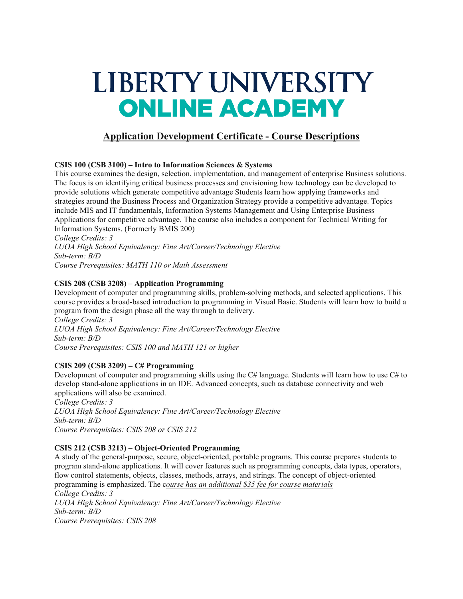# LIBERTY UNIVERSITY **ONLINE ACADEMY**

# **Application Development Certificate - Course Descriptions**

#### **CSIS 100 (CSB 3100) – Intro to Information Sciences & Systems**

This course examines the design, selection, implementation, and management of enterprise Business solutions. The focus is on identifying critical business processes and envisioning how technology can be developed to provide solutions which generate competitive advantage Students learn how applying frameworks and strategies around the Business Process and Organization Strategy provide a competitive advantage. Topics include MIS and IT fundamentals, Information Systems Management and Using Enterprise Business Applications for competitive advantage. The course also includes a component for Technical Writing for Information Systems. (Formerly BMIS 200)

*College Credits: 3 LUOA High School Equivalency: Fine Art/Career/Technology Elective Sub-term: B/D Course Prerequisites: MATH 110 or Math Assessment*

#### **CSIS 208 (CSB 3208) – Application Programming**

Development of computer and programming skills, problem-solving methods, and selected applications. This course provides a broad-based introduction to programming in Visual Basic. Students will learn how to build a program from the design phase all the way through to delivery. *College Credits: 3*

*LUOA High School Equivalency: Fine Art/Career/Technology Elective Sub-term: B/D Course Prerequisites: CSIS 100 and MATH 121 or higher*

## **CSIS 209 (CSB 3209) – C# Programming**

Development of computer and programming skills using the C# language. Students will learn how to use C# to develop stand-alone applications in an IDE. Advanced concepts, such as database connectivity and web applications will also be examined.

*College Credits: 3 LUOA High School Equivalency: Fine Art/Career/Technology Elective Sub-term: B/D Course Prerequisites: CSIS 208 or CSIS 212*

#### **CSIS 212 (CSB 3213) – Object-Oriented Programming**

A study of the general-purpose, secure, object-oriented, portable programs. This course prepares students to program stand-alone applications. It will cover features such as programming concepts, data types, operators, flow control statements, objects, classes, methods, arrays, and strings. The concept of object-oriented programming is emphasized. The c*ourse has an additional \$35 fee for course materials College Credits: 3 LUOA High School Equivalency: Fine Art/Career/Technology Elective Sub-term: B/D Course Prerequisites: CSIS 208*